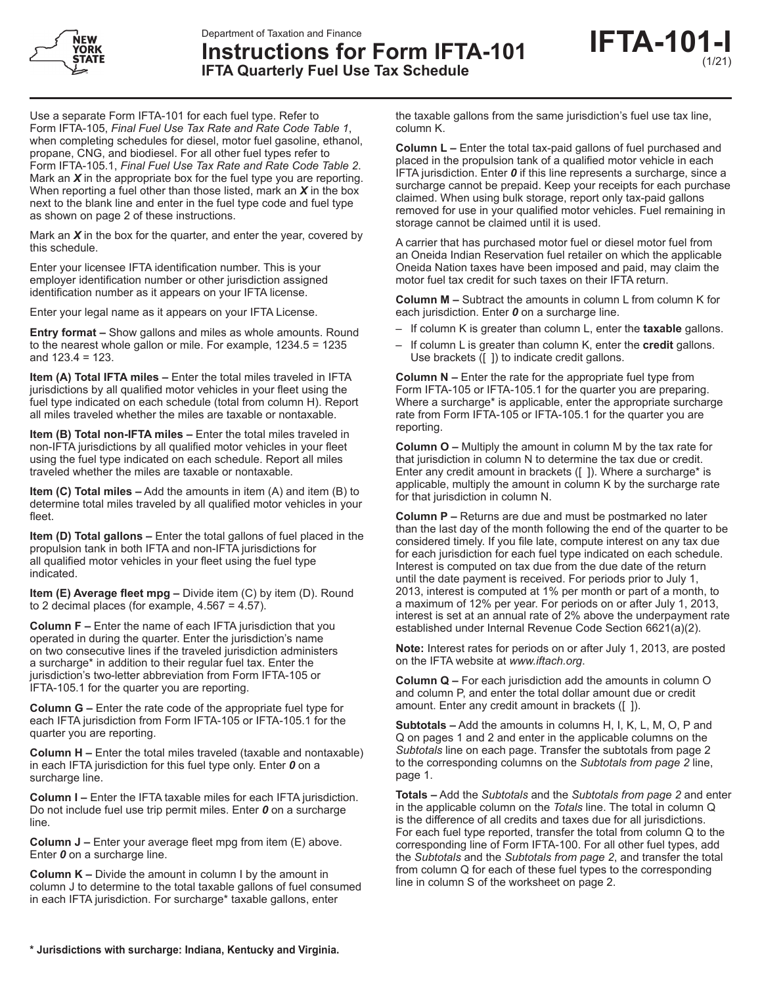



Use a separate Form IFTA-101 for each fuel type. Refer to Form IFTA-105, *Final Fuel Use Tax Rate and Rate Code Table 1*, when completing schedules for diesel, motor fuel gasoline, ethanol, propane, CNG, and biodiesel. For all other fuel types refer to Form IFTA-105.1, *Final Fuel Use Tax Rate and Rate Code Table 2*. Mark an *X* in the appropriate box for the fuel type you are reporting. When reporting a fuel other than those listed, mark an *X* in the box next to the blank line and enter in the fuel type code and fuel type as shown on page 2 of these instructions.

Mark an *X* in the box for the quarter, and enter the year, covered by this schedule.

Enter your licensee IFTA identification number. This is your employer identification number or other jurisdiction assigned identification number as it appears on your IFTA license.

Enter your legal name as it appears on your IFTA License.

**Entry format –** Show gallons and miles as whole amounts. Round to the nearest whole gallon or mile. For example, 1234.5 = 1235 and 123.4 = 123.

**Item (A) Total IFTA miles –** Enter the total miles traveled in IFTA jurisdictions by all qualified motor vehicles in your fleet using the fuel type indicated on each schedule (total from column H). Report all miles traveled whether the miles are taxable or nontaxable.

**Item (B) Total non-IFTA miles –** Enter the total miles traveled in non-IFTA jurisdictions by all qualified motor vehicles in your fleet using the fuel type indicated on each schedule. Report all miles traveled whether the miles are taxable or nontaxable.

**Item (C) Total miles –** Add the amounts in item (A) and item (B) to determine total miles traveled by all qualified motor vehicles in your fleet.

**Item (D) Total gallons –** Enter the total gallons of fuel placed in the propulsion tank in both IFTA and non-IFTA jurisdictions for all qualified motor vehicles in your fleet using the fuel type indicated.

**Item (E) Average fleet mpg –** Divide item (C) by item (D). Round to 2 decimal places (for example, 4.567 = 4.57).

**Column F –** Enter the name of each IFTA jurisdiction that you operated in during the quarter. Enter the jurisdiction's name on two consecutive lines if the traveled jurisdiction administers a surcharge\* in addition to their regular fuel tax. Enter the jurisdiction's two-letter abbreviation from Form IFTA-105 or IFTA-105.1 for the quarter you are reporting.

**Column G –** Enter the rate code of the appropriate fuel type for each IFTA jurisdiction from Form IFTA-105 or IFTA-105.1 for the quarter you are reporting.

**Column H –** Enter the total miles traveled (taxable and nontaxable) in each IFTA jurisdiction for this fuel type only. Enter *0* on a surcharge line.

**Column I –** Enter the IFTA taxable miles for each IFTA jurisdiction. Do not include fuel use trip permit miles. Enter *0* on a surcharge line.

**Column J –** Enter your average fleet mpg from item (E) above. Enter *0* on a surcharge line.

**Column K –** Divide the amount in column I by the amount in column J to determine to the total taxable gallons of fuel consumed in each IFTA jurisdiction. For surcharge\* taxable gallons, enter

the taxable gallons from the same jurisdiction's fuel use tax line, column K.

**Column L –** Enter the total tax-paid gallons of fuel purchased and placed in the propulsion tank of a qualified motor vehicle in each IFTA jurisdiction. Enter *0* if this line represents a surcharge, since a surcharge cannot be prepaid. Keep your receipts for each purchase claimed. When using bulk storage, report only tax-paid gallons removed for use in your qualified motor vehicles. Fuel remaining in storage cannot be claimed until it is used.

A carrier that has purchased motor fuel or diesel motor fuel from an Oneida Indian Reservation fuel retailer on which the applicable Oneida Nation taxes have been imposed and paid, may claim the motor fuel tax credit for such taxes on their IFTA return.

**Column M –** Subtract the amounts in column L from column K for each jurisdiction. Enter *0* on a surcharge line.

- If column K is greater than column L, enter the **taxable** gallons.
- If column L is greater than column K, enter the **credit** gallons. Use brackets ([ ]) to indicate credit gallons.

**Column N –** Enter the rate for the appropriate fuel type from Form IFTA-105 or IFTA-105.1 for the quarter you are preparing. Where a surcharge\* is applicable, enter the appropriate surcharge rate from Form IFTA-105 or IFTA-105.1 for the quarter you are reporting.

**Column O –** Multiply the amount in column M by the tax rate for that jurisdiction in column N to determine the tax due or credit. Enter any credit amount in brackets ([ ]). Where a surcharge\* is applicable, multiply the amount in column K by the surcharge rate for that jurisdiction in column N.

**Column P –** Returns are due and must be postmarked no later than the last day of the month following the end of the quarter to be considered timely. If you file late, compute interest on any tax due for each jurisdiction for each fuel type indicated on each schedule. Interest is computed on tax due from the due date of the return until the date payment is received. For periods prior to July 1, 2013, interest is computed at 1% per month or part of a month, to a maximum of 12% per year. For periods on or after July 1, 2013, interest is set at an annual rate of 2% above the underpayment rate established under Internal Revenue Code Section 6621(a)(2).

**Note:** Interest rates for periods on or after July 1, 2013, are posted on the IFTA website at *www.iftach.org*.

**Column Q –** For each jurisdiction add the amounts in column O and column P, and enter the total dollar amount due or credit amount. Enter any credit amount in brackets ([ ]).

**Subtotals –** Add the amounts in columns H, I, K, L, M, O, P and Q on pages 1 and 2 and enter in the applicable columns on the *Subtotals* line on each page. Transfer the subtotals from page 2 to the corresponding columns on the *Subtotals from page 2* line, page 1.

**Totals –** Add the *Subtotals* and the *Subtotals from page 2* and enter in the applicable column on the *Totals* line. The total in column Q is the difference of all credits and taxes due for all jurisdictions. For each fuel type reported, transfer the total from column Q to the corresponding line of Form IFTA-100. For all other fuel types, add the *Subtotals* and the *Subtotals from page 2*, and transfer the total from column Q for each of these fuel types to the corresponding line in column S of the worksheet on page 2.